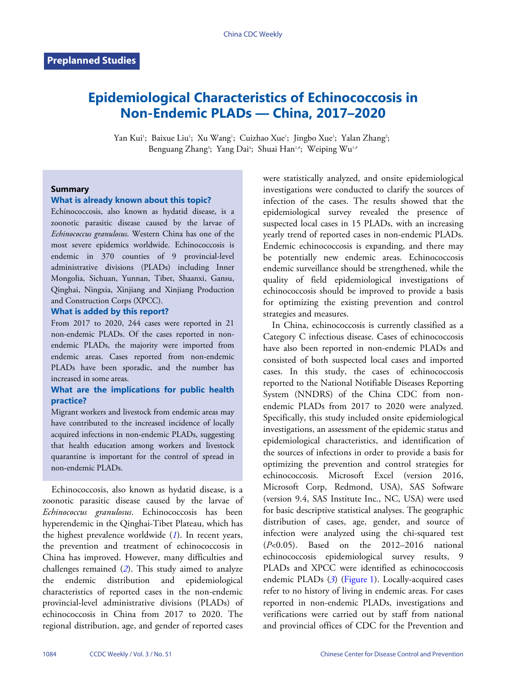# **Epidemiological Characteristics of Echinococcosis in Non-Endemic PLADs — China, 2017–2020**

Yan Kui'; Baixue Liu'; Xu Wang'; Cuizhao Xue'; Jingbo Xue'; Yalan Zhang'; Benguang Zhang<sup>3</sup>; Yang Dai<sup>4</sup>; Shuai Han<sup>1,#</sup>; Weiping Wu<sup>1,#</sup>

#### **Summary**

## **What is already known about this topic?**

Echinococcosis, also known as hydatid disease, is a zoonotic parasitic disease caused by the larvae of *Echinococcus granulosus*. Western China has one of the most severe epidemics worldwide. Echinococcosis is endemic in 370 counties of 9 provincial-level administrative divisions (PLADs) including Inner Mongolia, Sichuan, Yunnan, Tibet, Shaanxi, Gansu, Qinghai, Ningxia, Xinjiang and Xinjiang Production and Construction Corps (XPCC).

#### **What is added by this report?**

From 2017 to 2020, 244 cases were reported in 21 non-endemic PLADs. Of the cases reported in nonendemic PLADs, the majority were imported from endemic areas. Cases reported from non-endemic PLADs have been sporadic, and the number has increased in some areas.

### **What are the implications for public health practice?**

Migrant workers and livestock from endemic areas may have contributed to the increased incidence of locally acquired infections in non-endemic PLADs, suggesting that health education among workers and livestock quarantine is important for the control of spread in non-endemic PLADs.

Echinococcosis, also known as hydatid disease, is a zoonotic parasitic disease caused by the larvae of *Echinococcus granulosus*. Echinococcosis has been hyperendemic in the Qinghai-Tibet Plateau, which has the highest prevalence worldwide (*[1](#page-4-0)*). In recent years, the prevention and treatment of echinococcosis in China has improved. However, many difficulties and challenges remained (*[2](#page-4-1)*). This study aimed to analyze the endemic distribution and epidemiological characteristics of reported cases in the non-endemic provincial-level administrative divisions (PLADs) of echinococcosis in China from 2017 to 2020. The regional distribution, age, and gender of reported cases

were statistically analyzed, and onsite epidemiological investigations were conducted to clarify the sources of infection of the cases. The results showed that the epidemiological survey revealed the presence of suspected local cases in 15 PLADs, with an increasing yearly trend of reported cases in non-endemic PLADs. Endemic echinococcosis is expanding, and there may be potentially new endemic areas. Echinococcosis endemic surveillance should be strengthened, while the quality of field epidemiological investigations of echinococcosis should be improved to provide a basis for optimizing the existing prevention and control strategies and measures.

In China, echinococcosis is currently classified as a Category C infectious disease. Cases of echinococcosis have also been reported in non-endemic PLADs and consisted of both suspected local cases and imported cases. In this study, the cases of echinococcosis reported to the National Notifiable Diseases Reporting System (NNDRS) of the China CDC from nonendemic PLADs from 2017 to 2020 were analyzed. Specifically, this study included onsite epidemiological investigations, an assessment of the epidemic status and epidemiological characteristics, and identification of the sources of infections in order to provide a basis for optimizing the prevention and control strategies for echinococcosis. Microsoft Excel (version 2016, Microsoft Corp, Redmond, USA), SAS Software (version 9.4, SAS Institute Inc., NC, USA) were used for basic descriptive statistical analyses. The geographic distribution of cases, age, gender, and source of infection were analyzed using the chi-squared test (*P*<0.05). Based on the 2012–2016 national echinococcosis epidemiological survey results, 9 PLADs and XP[C](#page-4-2)Cwere identified as echinococcosis endemic PLADs (*[3](#page-4-2)*) ([Figure 1](#page-1-0)). Locally-acquired cases refer to no history of living in endemic areas. For cases reported in non-endemic PLADs, investigations and verifications were carried out by staff from national and provincial offices of CDC for the Prevention and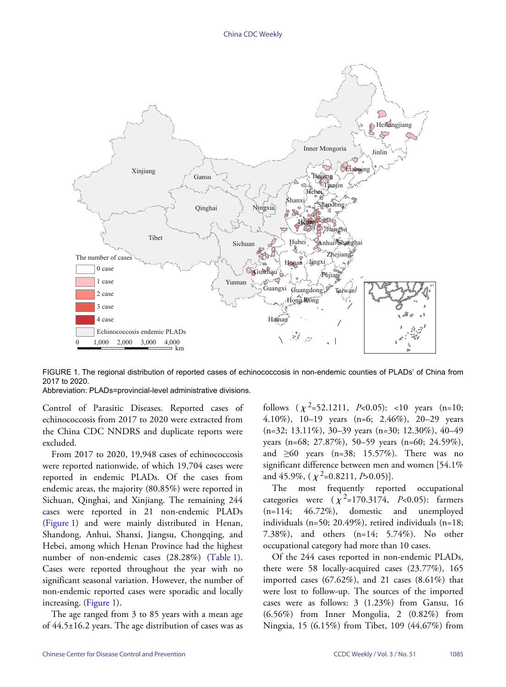<span id="page-1-0"></span>

FIGURE 1. The regional distribution of reported cases of echinococcosis in non-endemic counties of PLADs' of China from 2017 to 2020.

Abbreviation: PLADs=provincial-level administrative divisions.

Control of Parasitic Diseases. Reported cases of echinococcosis from 2017 to 2020 were extracted from the China CDC NNDRS and duplicate reports were excluded.

From 2017 to 2020, 19,948 cases of echinococcosis were reported nationwide, of which 19,704 cases were reported in endemic PLADs. Of the cases from endemic areas, the majority (80.85%) were reported in Sichuan, Qinghai, and Xinjiang. The remaining 244 cases were reported in 21 non-endemic PLADs ([Figure 1](#page-1-0)) and were mainly distributed in Henan, Shandong, Anhui, Shanxi, Jiangsu, Chongqing, and Hebei, among which Henan Province had t[he highes](#page-2-0)t number of non-endemic cases (28.28%) ([Table 1](#page-2-0)). Cases were reported throughout the year with no significant seasonal variation. However, the number of non-endemi[c reporte](#page-1-0)d cases were sporadic and locally increasing. ([Figure 1](#page-1-0)).

The age ranged from 3 to 85 years with a mean age of 44.5±16.2 years. The age distribution of cases was as

follows  $(\chi^2=52.1211, P<0.05)$ : <10 years  $(n=10;$ 4.10%), 10–19 years (n=6; 2.46%), 20–29 years (n=32; 13.11%), 30–39 years (n=30; 12.30%), 40–49 years (n=68; 27.87%), 50–59 years (n=60; 24.59%), and  $\geq 60$  years (n=38; 15.57%). There was no significant difference between men and women [54.1% and 45.9%,  $(\chi^2=0.8211, P>0.05)$ ].

The most frequently reported occupational categories were  $(\chi^2=170.3174, P<0.05)$ : farmers  $(n=114; 46.72\%)$ , domestic and unemployed individuals (n=50; 20.49%), retired individuals (n=18; 7.38%), and others (n=14; 5.74%). No other occupational category had more than 10 cases.

Of the 244 cases reported in non-endemic PLADs, there were 58 locally-acquired cases (23.77%), 165 imported cases  $(67.62\%)$ , and 21 cases  $(8.61\%)$  that were lost to follow-up. The sources of the imported cases were as follows: 3 (1.23%) from Gansu, 16 (6.56%) from Inner Mongolia, 2 (0.82%) from Ningxia, 15 (6.15%) from Tibet, 109 (44.67%) from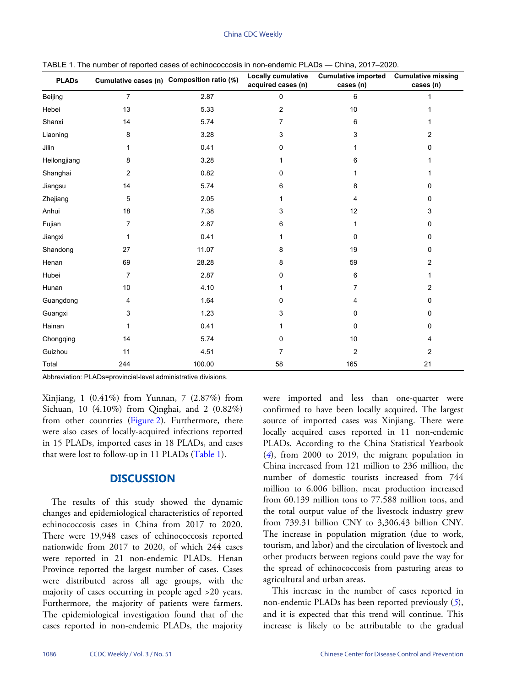| <b>PLADs</b> |                | Cumulative cases (n) Composition ratio (%) | <b>Locally cumulative</b><br>acquired cases (n) | <b>Cumulative imported</b><br>cases (n) | <b>Cumulative missing</b><br>cases (n) |
|--------------|----------------|--------------------------------------------|-------------------------------------------------|-----------------------------------------|----------------------------------------|
| Beijing      | $\overline{7}$ | 2.87                                       | 0                                               | 6                                       | 1                                      |
| Hebei        | 13             | 5.33                                       | 2                                               | 10                                      |                                        |
| Shanxi       | 14             | 5.74                                       | 7                                               | 6                                       |                                        |
| Liaoning     | 8              | 3.28                                       | 3                                               | 3                                       | 2                                      |
| Jilin        | 1              | 0.41                                       | 0                                               |                                         | 0                                      |
| Heilongjiang | 8              | 3.28                                       |                                                 | 6                                       |                                        |
| Shanghai     | 2              | 0.82                                       | 0                                               |                                         |                                        |
| Jiangsu      | 14             | 5.74                                       | 6                                               | 8                                       | 0                                      |
| Zhejiang     | 5              | 2.05                                       |                                                 | 4                                       | 0                                      |
| Anhui        | 18             | 7.38                                       | 3                                               | 12                                      | 3                                      |
| Fujian       | 7              | 2.87                                       | 6                                               | 1                                       | 0                                      |
| Jiangxi      | 1              | 0.41                                       |                                                 | $\Omega$                                | 0                                      |
| Shandong     | 27             | 11.07                                      | 8                                               | 19                                      | 0                                      |
| Henan        | 69             | 28.28                                      | 8                                               | 59                                      | 2                                      |
| Hubei        | 7              | 2.87                                       | 0                                               | 6                                       |                                        |
| Hunan        | 10             | 4.10                                       |                                                 | 7                                       | 2                                      |
| Guangdong    | 4              | 1.64                                       | 0                                               | 4                                       | 0                                      |
| Guangxi      | 3              | 1.23                                       | 3                                               | 0                                       | 0                                      |
| Hainan       | 1              | 0.41                                       |                                                 | 0                                       | 0                                      |
| Chongqing    | 14             | 5.74                                       | 0                                               | 10 <sup>1</sup>                         | 4                                      |
| Guizhou      | 11             | 4.51                                       | 7                                               | $\overline{c}$                          | 2                                      |
| Total        | 244            | 100.00                                     | 58                                              | 165                                     | 21                                     |

<span id="page-2-0"></span>TABLE 1. The number of reported cases of echinococcosis in non-endemic PLADs — China, 2017–2020.

Abbreviation: PLADs=provincial-level administrative divisions.

Xinjiang, 1 (0.41%) from Yunnan, 7 (2.87%) from Sichuan, 10 (4.10%) from Qinghai, and 2 (0.82%) fromother countries [\(Figure 2](#page-3-0)). Furthermore, there were also cases of locally-acquired infections reported in 15 PLADs, imported cases in 18 PLADs, and cases that were lost to follow-up in 11 PLADs ([Table 1](#page-2-0)).

### **DISCUSSION**

The results of this study showed the dynamic changes and epidemiological characteristics of reported echinococcosis cases in China from 2017 to 2020. There were 19,948 cases of echinococcosis reported nationwide from 2017 to 2020, of which 244 cases were reported in 21 non-endemic PLADs. Henan Province reported the largest number of cases. Cases were distributed across all age groups, with the majority of cases occurring in people aged >20 years. Furthermore, the majority of patients were farmers. The epidemiological investigation found that of the cases reported in non-endemic PLADs, the majority

were imported and less than one-quarter were confirmed to have been locally acquired. The largest source of imported cases was Xinjiang. There were locally acquired cases reported in 11 non-endemic PLADs. According to the China Statistical Yearbook (*[4](#page-4-3)*), from 2000 to 2019, the migrant population in China increased from 121 million to 236 million, the number of domestic tourists increased from 744 million to 6.006 billion, meat production increased from 60.139 million tons to 77.588 million tons, and the total output value of the livestock industry grew from 739.31 billion CNY to 3,306.43 billion CNY. The increase in population migration (due to work, tourism, and labor) and the circulation of livestock and other products between regions could pave the way for the spread of echinococcosis from pasturing areas to agricultural and urban areas.

This increase in the number of cases reported [i](#page-4-4)n non-endemic PLADs has been reported previously (*[5](#page-4-4)*), and it is expected that this trend will continue. This increase is likely to be attributable to the gradual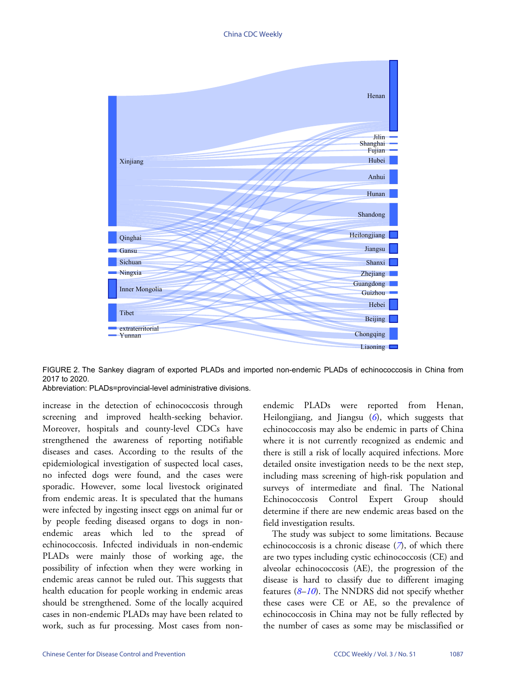#### China CDC Weekly

<span id="page-3-0"></span>

FIGURE 2. The Sankey diagram of exported PLADs and imported non-endemic PLADs of echinococcosis in China from 2017 to 2020.

Abbreviation: PLADs=provincial-level administrative divisions.

increase in the detection of echinococcosis through screening and improved health-seeking behavior. Moreover, hospitals and county-level CDCs have strengthened the awareness of reporting notifiable diseases and cases. According to the results of the epidemiological investigation of suspected local cases, no infected dogs were found, and the cases were sporadic. However, some local livestock originated from endemic areas. It is speculated that the humans were infected by ingesting insect eggs on animal fur or by people feeding diseased organs to dogs in nonendemic areas which led to the spread of echinococcosis. Infected individuals in non-endemic PLADs were mainly those of working age, the possibility of infection when they were working in endemic areas cannot be ruled out. This suggests that health education for people working in endemic areas should be strengthened. Some of the locally acquired cases in non-endemic PLADs may have been related to work, such as fur processing. Most cases from nonendemic PLADs were reported from Henan, Heilongjiang, and Jiangsu (*[6](#page-4-5)*), which suggests that echinococcosis may also be endemic in parts of China where it is not currently recognized as endemic and there is still a risk of locally acquired infections. More detailed onsite investigation needs to be the next step, including mass screening of high-risk population and surveys of intermediate and final. The National Echinococcosis Control Expert Group should determine if there are new endemic areas based on the field investigation results.

The study was subject to some li[m](#page-4-6)itations. Because echinococcosis is a chronic disease (*[7](#page-4-6)*), of which there are two types including cystic echinococcosis (CE) and alveolar echinococcosis (AE), the progression of the disease i[s](#page-4-7)[hard](#page-4-8) to classify due to different imaging features (*[8](#page-4-7)*–*[10](#page-4-8)*). The NNDRS did not specify whether these cases were CE or AE, so the prevalence of echinococcosis in China may not be fully reflected by the number of cases as some may be misclassified or